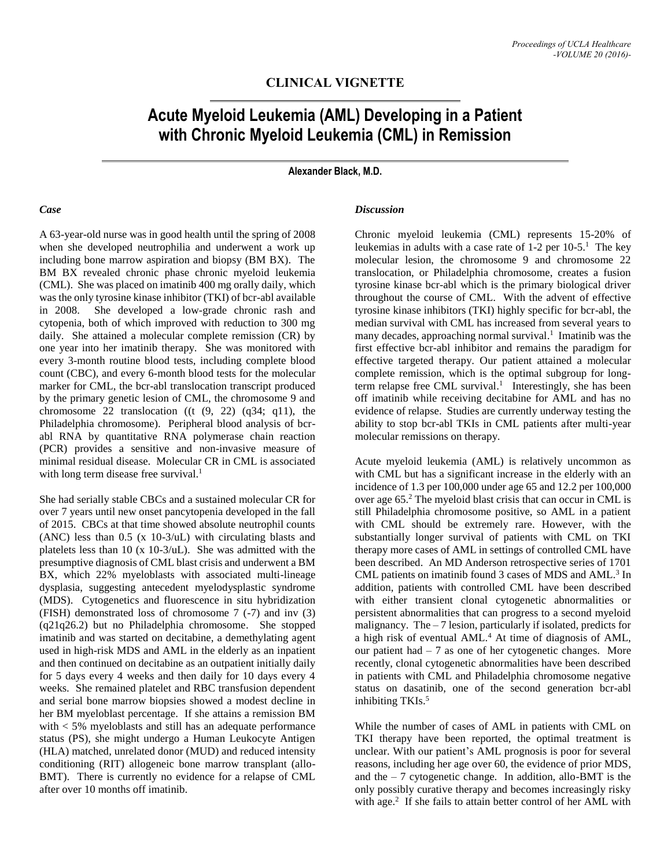## **CLINICAL VIGNETTE**

# **Acute Myeloid Leukemia (AML) Developing in a Patient with Chronic Myeloid Leukemia (CML) in Remission**

**Alexander Black, M.D.**

#### *Case*

A 63-year-old nurse was in good health until the spring of 2008 when she developed neutrophilia and underwent a work up including bone marrow aspiration and biopsy (BM BX). The BM BX revealed chronic phase chronic myeloid leukemia (CML). She was placed on imatinib 400 mg orally daily, which was the only tyrosine kinase inhibitor (TKI) of bcr-abl available in 2008. She developed a low-grade chronic rash and cytopenia, both of which improved with reduction to 300 mg daily. She attained a molecular complete remission (CR) by one year into her imatinib therapy. She was monitored with every 3-month routine blood tests, including complete blood count (CBC), and every 6-month blood tests for the molecular marker for CML, the bcr-abl translocation transcript produced by the primary genetic lesion of CML, the chromosome 9 and chromosome 22 translocation  $((t (9, 22) (q34; q11), the$ Philadelphia chromosome). Peripheral blood analysis of bcrabl RNA by quantitative RNA polymerase chain reaction (PCR) provides a sensitive and non-invasive measure of minimal residual disease. Molecular CR in CML is associated with long term disease free survival.<sup>1</sup>

She had serially stable CBCs and a sustained molecular CR for over 7 years until new onset pancytopenia developed in the fall of 2015. CBCs at that time showed absolute neutrophil counts (ANC) less than 0.5 (x 10-3/uL) with circulating blasts and platelets less than 10 (x 10-3/uL). She was admitted with the presumptive diagnosis of CML blast crisis and underwent a BM BX, which 22% myeloblasts with associated multi-lineage dysplasia, suggesting antecedent myelodysplastic syndrome (MDS). Cytogenetics and fluorescence in situ hybridization (FISH) demonstrated loss of chromosome 7 (-7) and inv (3) (q21q26.2) but no Philadelphia chromosome. She stopped imatinib and was started on decitabine, a demethylating agent used in high-risk MDS and AML in the elderly as an inpatient and then continued on decitabine as an outpatient initially daily for 5 days every 4 weeks and then daily for 10 days every 4 weeks. She remained platelet and RBC transfusion dependent and serial bone marrow biopsies showed a modest decline in her BM myeloblast percentage. If she attains a remission BM with < 5% myeloblasts and still has an adequate performance status (PS), she might undergo a Human Leukocyte Antigen (HLA) matched, unrelated donor (MUD) and reduced intensity conditioning (RIT) allogeneic bone marrow transplant (allo-BMT). There is currently no evidence for a relapse of CML after over 10 months off imatinib.

#### *Discussion*

Chronic myeloid leukemia (CML) represents 15-20% of leukemias in adults with a case rate of 1-2 per 10-5.<sup>1</sup> The key molecular lesion, the chromosome 9 and chromosome 22 translocation, or Philadelphia chromosome, creates a fusion tyrosine kinase bcr-abl which is the primary biological driver throughout the course of CML. With the advent of effective tyrosine kinase inhibitors (TKI) highly specific for bcr-abl, the median survival with CML has increased from several years to many decades, approaching normal survival. 1 Imatinib was the first effective bcr-abl inhibitor and remains the paradigm for effective targeted therapy. Our patient attained a molecular complete remission, which is the optimal subgroup for longterm relapse free CML survival. 1 Interestingly, she has been off imatinib while receiving decitabine for AML and has no evidence of relapse. Studies are currently underway testing the ability to stop bcr-abl TKIs in CML patients after multi-year molecular remissions on therapy.

Acute myeloid leukemia (AML) is relatively uncommon as with CML but has a significant increase in the elderly with an incidence of 1.3 per 100,000 under age 65 and 12.2 per 100,000 over age 65. <sup>2</sup> The myeloid blast crisis that can occur in CML is still Philadelphia chromosome positive, so AML in a patient with CML should be extremely rare. However, with the substantially longer survival of patients with CML on TKI therapy more cases of AML in settings of controlled CML have been described. An MD Anderson retrospective series of 1701 CML patients on imatinib found 3 cases of MDS and AML. 3 In addition, patients with controlled CML have been described with either transient clonal cytogenetic abnormalities or persistent abnormalities that can progress to a second myeloid malignancy. The – 7 lesion, particularly if isolated, predicts for a high risk of eventual AML. <sup>4</sup> At time of diagnosis of AML, our patient had  $-7$  as one of her cytogenetic changes. More recently, clonal cytogenetic abnormalities have been described in patients with CML and Philadelphia chromosome negative status on dasatinib, one of the second generation bcr-abl inhibiting TKIs. 5

While the number of cases of AML in patients with CML on TKI therapy have been reported, the optimal treatment is unclear. With our patient's AML prognosis is poor for several reasons, including her age over 60, the evidence of prior MDS, and the  $-7$  cytogenetic change. In addition, allo-BMT is the only possibly curative therapy and becomes increasingly risky with age.<sup>2</sup> If she fails to attain better control of her AML with